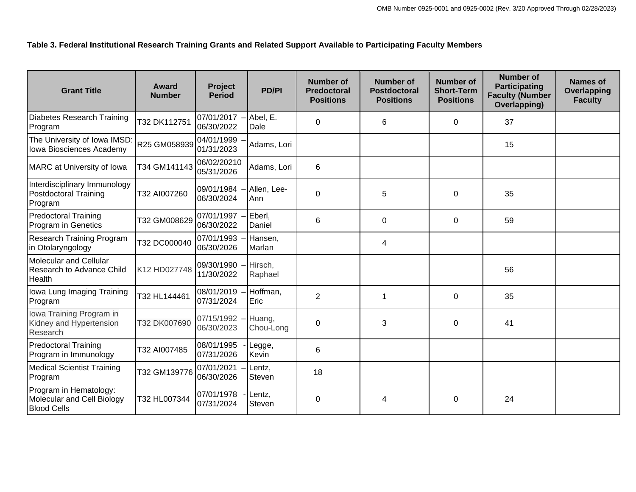## **Table 3. Federal Institutional Research Training Grants and Related Support Available to Participating Faculty Members**

| <b>Grant Title</b>                                                         | Award<br><b>Number</b> | Project<br><b>Period</b>  | <b>PD/PI</b>        | <b>Number of</b><br><b>Predoctoral</b><br><b>Positions</b> | <b>Number of</b><br><b>Postdoctoral</b><br><b>Positions</b> | Number of<br><b>Short-Term</b><br><b>Positions</b> | <b>Number of</b><br><b>Participating</b><br><b>Faculty (Number</b><br>Overlapping) | Names of<br>Overlapping<br><b>Faculty</b> |
|----------------------------------------------------------------------------|------------------------|---------------------------|---------------------|------------------------------------------------------------|-------------------------------------------------------------|----------------------------------------------------|------------------------------------------------------------------------------------|-------------------------------------------|
| Diabetes Research Training<br>Program                                      | T32 DK112751           | 07/01/2017<br>06/30/2022  | Abel, E.<br>Dale    | $\mathbf 0$                                                | 6                                                           | 0                                                  | 37                                                                                 |                                           |
| The University of Iowa IMSD:<br>Iowa Biosciences Academy                   | R25 GM058939           | 04/01/1999<br>01/31/2023  | Adams, Lori         |                                                            |                                                             |                                                    | 15                                                                                 |                                           |
| MARC at University of Iowa                                                 | T34 GM141143           | 06/02/20210<br>05/31/2026 | Adams, Lori         | 6                                                          |                                                             |                                                    |                                                                                    |                                           |
| Interdisciplinary Immunology<br><b>Postdoctoral Training</b><br>Program    | T32 AI007260           | 09/01/1984<br>06/30/2024  | Allen, Lee-<br>Ann  | $\mathbf 0$                                                | 5                                                           | 0                                                  | 35                                                                                 |                                           |
| <b>Predoctoral Training</b><br>Program in Genetics                         | T32 GM008629           | 07/01/1997<br>06/30/2022  | Eberl,<br>Daniel    | 6                                                          | $\mathbf 0$                                                 | 0                                                  | 59                                                                                 |                                           |
| Research Training Program<br>in Otolaryngology                             | T32 DC000040           | 07/01/1993<br>06/30/2026  | Hansen,<br>Marlan   |                                                            | 4                                                           |                                                    |                                                                                    |                                           |
| Molecular and Cellular<br>Research to Advance Child<br>Health              | K12 HD027748           | 09/30/1990<br>11/30/2022  | Hirsch,<br>Raphael  |                                                            |                                                             |                                                    | 56                                                                                 |                                           |
| Iowa Lung Imaging Training<br>Program                                      | T32 HL144461           | 08/01/2019<br>07/31/2024  | Hoffman,<br>Eric    | $\overline{2}$                                             | 1                                                           | 0                                                  | 35                                                                                 |                                           |
| Iowa Training Program in<br>Kidney and Hypertension<br>Research            | T32 DK007690           | 07/15/1992<br>06/30/2023  | Huang,<br>Chou-Long | $\mathbf 0$                                                | 3                                                           | 0                                                  | 41                                                                                 |                                           |
| <b>Predoctoral Training</b><br>Program in Immunology                       | T32 AI007485           | 08/01/1995<br>07/31/2026  | Legge,<br>Kevin     | 6                                                          |                                                             |                                                    |                                                                                    |                                           |
| <b>Medical Scientist Training</b><br>Program                               | T32 GM139776           | 07/01/2021<br>06/30/2026  | Lentz,<br>Steven    | 18                                                         |                                                             |                                                    |                                                                                    |                                           |
| Program in Hematology:<br>Molecular and Cell Biology<br><b>Blood Cells</b> | T32 HL007344           | 07/01/1978<br>07/31/2024  | Lentz,<br>Steven    | $\Omega$                                                   | 4                                                           | 0                                                  | 24                                                                                 |                                           |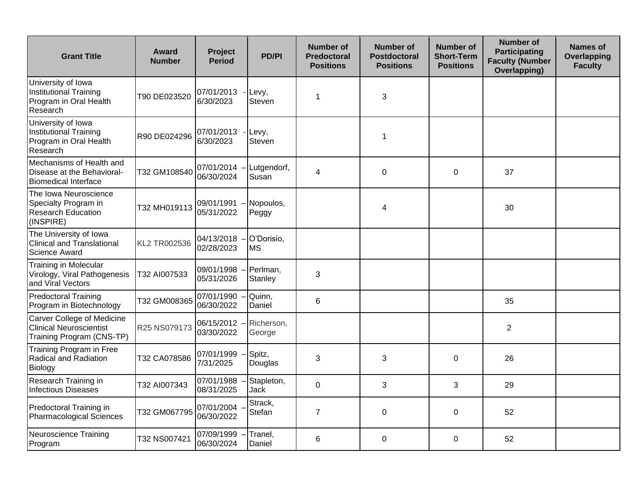| <b>Grant Title</b>                                                                               | Award<br><b>Number</b> | <b>Project</b><br><b>Period</b> | <b>PD/PI</b>            | <b>Number of</b><br><b>Predoctoral</b><br><b>Positions</b> | <b>Number of</b><br><b>Postdoctoral</b><br><b>Positions</b> | Number of<br><b>Short-Term</b><br><b>Positions</b> | <b>Number of</b><br><b>Participating</b><br><b>Faculty (Number</b><br><b>Overlapping)</b> | <b>Names of</b><br>Overlapping<br><b>Faculty</b> |
|--------------------------------------------------------------------------------------------------|------------------------|---------------------------------|-------------------------|------------------------------------------------------------|-------------------------------------------------------------|----------------------------------------------------|-------------------------------------------------------------------------------------------|--------------------------------------------------|
| University of Iowa<br>Institutional Training<br>Program in Oral Health<br>Research               | T90 DE023520           | 07/01/2013<br>6/30/2023         | Levy,<br>Steven         | $\mathbf 1$                                                | 3                                                           |                                                    |                                                                                           |                                                  |
| University of Iowa<br>Institutional Training<br>Program in Oral Health<br>Research               | R90 DE024296           | 07/01/2013<br>6/30/2023         | Levy,<br>Steven         |                                                            | 1                                                           |                                                    |                                                                                           |                                                  |
| Mechanisms of Health and<br>Disease at the Behavioral-<br>Biomedical Interface                   | T32 GM108540           | 07/01/2014<br>06/30/2024        | Lutgendorf,<br>Susan    | $\overline{4}$                                             | 0                                                           | $\Omega$                                           | 37                                                                                        |                                                  |
| The Iowa Neuroscience<br>Specialty Program in<br>Research Education<br>(INSPIRE)                 | T32 MH019113           | 09/01/1991<br>05/31/2022        | Nopoulos,<br>Peggy      |                                                            | 4                                                           |                                                    | 30                                                                                        |                                                  |
| The University of Iowa<br><b>Clinical and Translational</b><br><b>Science Award</b>              | KL2 TR002536           | 04/13/2018 -<br>02/28/2023      | O'Dorisio,<br><b>MS</b> |                                                            |                                                             |                                                    |                                                                                           |                                                  |
| Training in Molecular<br>Virology, Viral Pathogenesis<br>and Viral Vectors                       | T32 AI007533           | 09/01/1998<br>05/31/2026        | Perlman,<br>Stanley     | 3                                                          |                                                             |                                                    |                                                                                           |                                                  |
| <b>Predoctoral Training</b><br>Program in Biotechnology                                          | T32 GM008365           | 07/01/1990<br>06/30/2022        | Quinn,<br>Daniel        | 6                                                          |                                                             |                                                    | 35                                                                                        |                                                  |
| <b>Carver College of Medicine</b><br><b>Clinical Neuroscientist</b><br>Training Program (CNS-TP) | R25 NS079173           | 06/15/2012<br>03/30/2022        | Richerson,<br>George    |                                                            |                                                             |                                                    | $\overline{2}$                                                                            |                                                  |
| Training Program in Free<br>Radical and Radiation<br>Biology                                     | T32 CA078586           | 07/01/1999<br>7/31/2025         | Spitz,<br>Douglas       | 3                                                          | 3                                                           | $\Omega$                                           | 26                                                                                        |                                                  |
| Research Training in<br><b>Infectious Diseases</b>                                               | T32 AI007343           | 07/01/1988<br>08/31/2025        | Stapleton,<br>Jack      | $\mathbf 0$                                                | 3                                                           | 3                                                  | 29                                                                                        |                                                  |
| Predoctoral Training in<br><b>Pharmacological Sciences</b>                                       | T32 GM067795           | 07/01/2004<br>06/30/2022        | Strack,<br>Stefan       | $\overline{7}$                                             | 0                                                           | 0                                                  | 52                                                                                        |                                                  |
| Neuroscience Training<br>Program                                                                 | T32 NS007421           | 07/09/1999<br>06/30/2024        | Tranel,<br>Daniel       | 6                                                          | 0                                                           | 0                                                  | 52                                                                                        |                                                  |